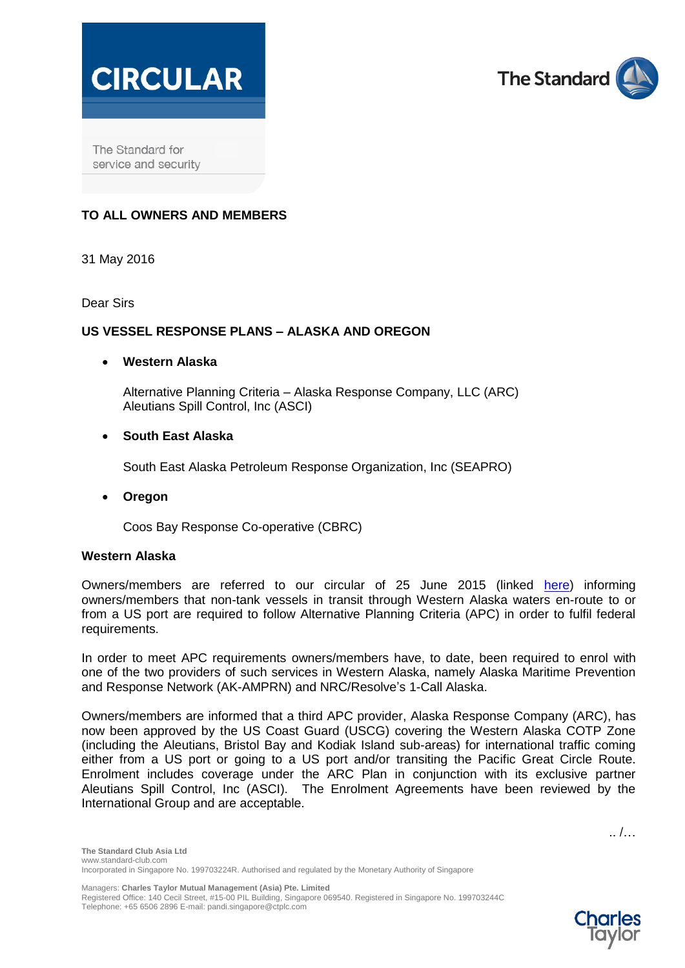



The Standard for service and security

# **TO ALL OWNERS AND MEMBERS**

31 May 2016

Dear Sirs

## **US VESSEL RESPONSE PLANS – ALASKA AND OREGON**

## **Western Alaska**

Alternative Planning Criteria – Alaska Response Company, LLC (ARC) Aleutians Spill Control, Inc (ASCI)

## **South East Alaska**

South East Alaska Petroleum Response Organization, Inc (SEAPRO)

**Oregon**

Coos Bay Response Co-operative (CBRC)

#### **Western Alaska**

Owners/members are referred to our circular of 25 June 2015 (linked [here\)](http://standard-club.com/media/1794494/25-june-2015-standard-asia-circular-us-vessel-response-plans-western-alaska-new-alternative-planning-criteria-1-call-alaska-plus-addenda.pdf) informing owners/members that non-tank vessels in transit through Western Alaska waters en-route to or from a US port are required to follow Alternative Planning Criteria (APC) in order to fulfil federal requirements.

In order to meet APC requirements owners/members have, to date, been required to enrol with one of the two providers of such services in Western Alaska, namely Alaska Maritime Prevention and Response Network (AK-AMPRN) and NRC/Resolve's 1-Call Alaska.

Owners/members are informed that a third APC provider, Alaska Response Company (ARC), has now been approved by the US Coast Guard (USCG) covering the Western Alaska COTP Zone (including the Aleutians, Bristol Bay and Kodiak Island sub-areas) for international traffic coming either from a US port or going to a US port and/or transiting the Pacific Great Circle Route. Enrolment includes coverage under the ARC Plan in conjunction with its exclusive partner Aleutians Spill Control, Inc (ASCI). The Enrolment Agreements have been reviewed by the International Group and are acceptable.

.. /…

Managers: **Charles Taylor Mutual Management (Asia) Pte. Limited**

Registered Office: 140 Cecil Street, #15-00 PIL Building, Singapore 069540. Registered in Singapore No. 199703244C Telephone: +65 6506 2896 E-mail: pandi.singapore@ctplc.com

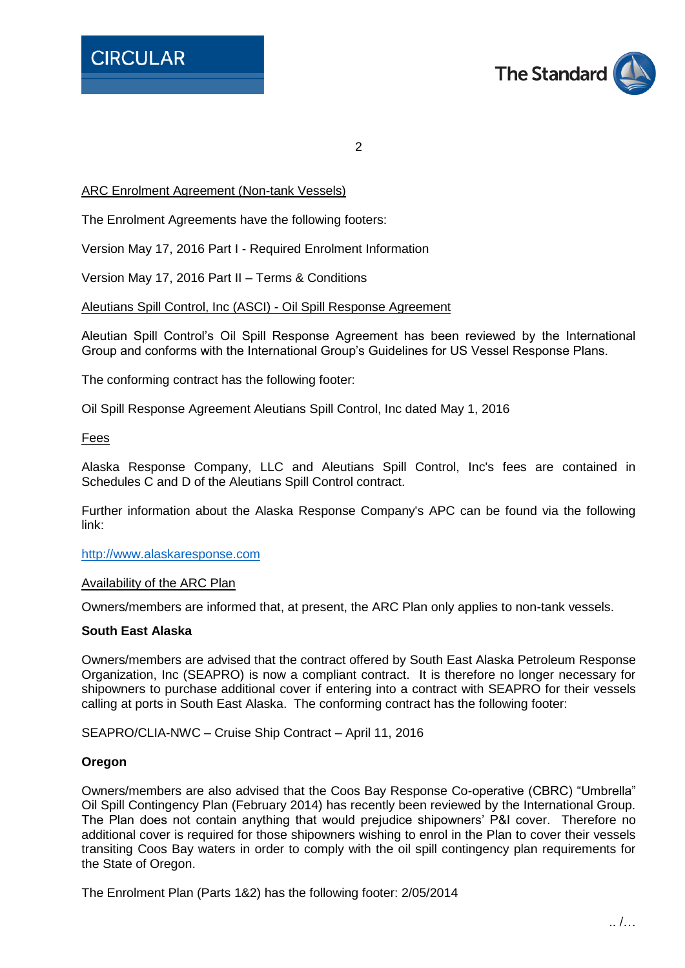

 $\mathfrak{D}$ 

# ARC Enrolment Agreement (Non-tank Vessels)

The Enrolment Agreements have the following footers:

Version May 17, 2016 Part I - Required Enrolment Information

Version May 17, 2016 Part II – Terms & Conditions

## Aleutians Spill Control, Inc (ASCI) - Oil Spill Response Agreement

Aleutian Spill Control's Oil Spill Response Agreement has been reviewed by the International Group and conforms with the International Group's Guidelines for US Vessel Response Plans.

The conforming contract has the following footer:

Oil Spill Response Agreement Aleutians Spill Control, Inc dated May 1, 2016

Fees

Alaska Response Company, LLC and Aleutians Spill Control, Inc's fees are contained in Schedules C and D of the Aleutians Spill Control contract.

Further information about the Alaska Response Company's APC can be found via the following link:

[http://www.alaskaresponse.com](http://www.alaskaresponse.com/)

#### Availability of the ARC Plan

Owners/members are informed that, at present, the ARC Plan only applies to non-tank vessels.

#### **South East Alaska**

Owners/members are advised that the contract offered by South East Alaska Petroleum Response Organization, Inc (SEAPRO) is now a compliant contract. It is therefore no longer necessary for shipowners to purchase additional cover if entering into a contract with SEAPRO for their vessels calling at ports in South East Alaska. The conforming contract has the following footer:

SEAPRO/CLIA-NWC – Cruise Ship Contract – April 11, 2016

#### **Oregon**

Owners/members are also advised that the Coos Bay Response Co-operative (CBRC) "Umbrella" Oil Spill Contingency Plan (February 2014) has recently been reviewed by the International Group. The Plan does not contain anything that would prejudice shipowners' P&I cover. Therefore no additional cover is required for those shipowners wishing to enrol in the Plan to cover their vessels transiting Coos Bay waters in order to comply with the oil spill contingency plan requirements for the State of Oregon.

The Enrolment Plan (Parts 1&2) has the following footer: 2/05/2014